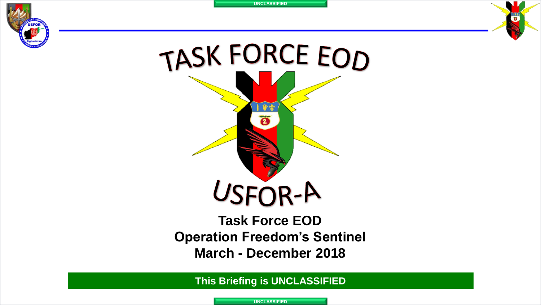



### **Task Force EOD Operation Freedom's Sentinel March - December 2018**

**This Briefing is UNCLASSIFIED**

**UNCLASSIFIED**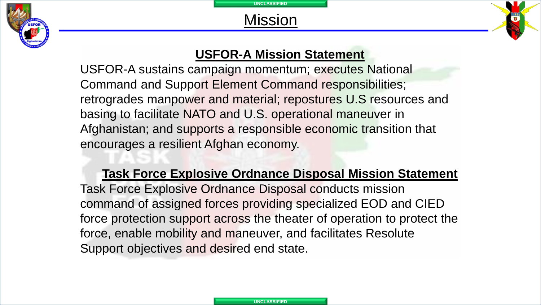



#### **USFOR-A Mission Statement**

USFOR-A sustains campaign momentum; executes National Command and Support Element Command responsibilities; retrogrades manpower and material; repostures U.S resources and basing to facilitate NATO and U.S. operational maneuver in Afghanistan; and supports a responsible economic transition that encourages a resilient Afghan economy.

#### **Task Force Explosive Ordnance Disposal Mission Statement**

Task Force Explosive Ordnance Disposal conducts mission command of assigned forces providing specialized EOD and CIED force protection support across the theater of operation to protect the force, enable mobility and maneuver, and facilitates Resolute Support objectives and desired end state.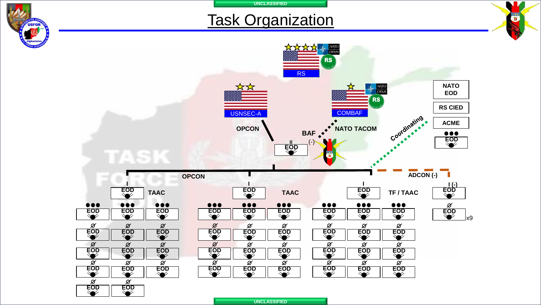| <b>Task Organization</b>                                                                                                                                                  |                                                                                                                                                             |                                                                                                                                                                                                                                                                                                                                    |    |
|---------------------------------------------------------------------------------------------------------------------------------------------------------------------------|-------------------------------------------------------------------------------------------------------------------------------------------------------------|------------------------------------------------------------------------------------------------------------------------------------------------------------------------------------------------------------------------------------------------------------------------------------------------------------------------------------|----|
|                                                                                                                                                                           | *<br><b>RS</b><br>☆☆<br><b>USNSEC-A</b><br><b>OPCON</b><br>BAF $\bullet$<br>$\frac{1}{500}$                                                                 | <b>ED</b> NATO<br><b>RS</b><br><b>NATO</b><br>$\frac{\text{NATO}}{\text{OTAN}}$<br><b>EOD</b><br><b>RS</b><br><b>RS CIED</b><br><b>COMBAF</b><br>Coordinating<br><b>ACME</b><br><b>CALLAGE</b><br>NATO TACOM<br>$\begin{array}{c}\n\bullet & \bullet & \bullet \\ \hline\n\text{EOD} & \bullet \\ \text{W} & \bullet\n\end{array}$ |    |
|                                                                                                                                                                           | <b>OPCON</b>                                                                                                                                                | ADCON (-)                                                                                                                                                                                                                                                                                                                          |    |
| $\overline{EOD}$<br><b>TAAC</b><br>$\bullet\bullet\bullet$<br>$\bullet\bullet\bullet$<br>$\bullet\bullet\bullet$<br><b>EOD</b><br>$\overline{\mathsf{Sop}}$<br><b>EOD</b> | <b>EOD</b><br><b>TAAC</b><br>$\bullet\bullet\bullet$<br>$\bullet\bullet\bullet$<br>$\bullet\bullet\bullet$<br><b>EOD</b><br>$\overline{SO}$<br><b>EOD</b>   | $\frac{1}{1}$<br>$\frac{1}{1}$<br>$\overline{EOD}$<br>TF / TAAC<br>$\bullet\bullet\bullet$<br>$\bullet\bullet\bullet$<br>$\bullet\bullet\bullet$<br>$rac{\varnothing}{EOD}$<br><b>EOD</b><br><b>EOD</b><br>$\overline{SO}$                                                                                                         | k9 |
| Ø<br>$rac{\varnothing}{EOD}$<br>$rac{\varnothing}{EOD}$<br><b>EOD</b><br>$rac{\varnothing}{EOD}$<br>$\pmb{\mathcal{Q}}$<br>$\varnothing$<br><b>EOD</b><br><b>EOD</b>      | $rac{\varnothing}{EOD}$<br>$rac{\varnothing}{EOD}$<br>$rac{\varnothing}{EOD}$<br>$rac{\varnothing}{EOD}$<br>$rac{\varnothing}{EOD}$<br>$\chi$<br><b>EOD</b> | $rac{\varnothing}{EOD}$<br>$rac{\varnothing}{EOD}$<br>$rac{\varnothing}{\text{EOD}}$<br>$rac{\varnothing}{EOD}$<br>$rac{\varnothing}{EOD}$<br>$rac{\varnothing}{EOD}$                                                                                                                                                              |    |
| $\blacktriangledown$<br>Ø<br>$\varnothing$<br>Ø<br>EOD<br><b>EOD</b><br><b>EOD</b>                                                                                        | $\varnothing$<br>Ø<br>Ø<br><b>EOD</b><br>EOD<br><b>EOD</b>                                                                                                  | Ø<br>Ø<br>Ø<br>EOD<br>EOD<br><b>EOD</b>                                                                                                                                                                                                                                                                                            |    |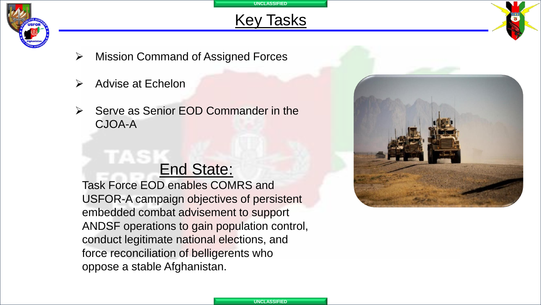

## Key Tasks

- ➢ Mission Command of Assigned Forces
- ➢ Advise at Echelon
- Serve as Senior EOD Commander in the CJOA-A

# End State:

Task Force EOD enables COMRS and USFOR-A campaign objectives of persistent embedded combat advisement to support ANDSF operations to gain population control, conduct legitimate national elections, and force reconciliation of belligerents who oppose a stable Afghanistan.

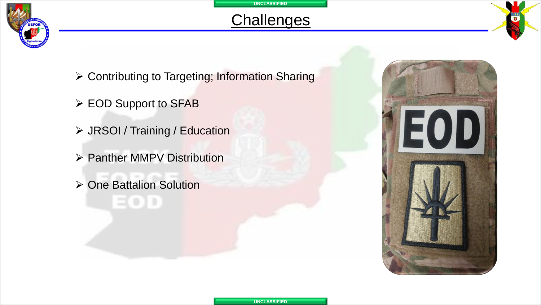

## **Challenges**

- ➢ Contributing to Targeting; Information Sharing
- ➢ EOD Support to SFAB
- ➢ JRSOI / Training / Education
- ➢ Panther MMPV Distribution
- ➢ One Battalion Solution

EOD